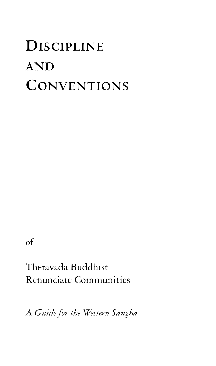# **DISCIPLINE AND CONVENTIONS**

of

Theravada Buddhist Renunciate Communities

*A Guide for the Western Sangha*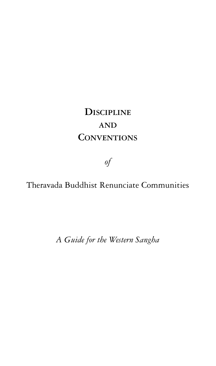## **DISCIPLINE AND CONVENTIONS**

*of*

Theravada Buddhist Renunciate Communities

*A Guide for the Western Sangha*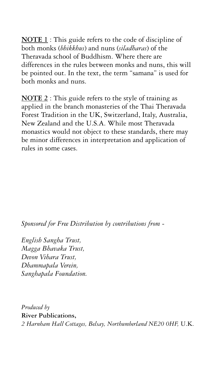**NOTE 1** : This guide refers to the code of discipline of both monks (*bhikkhus*) and nuns (*siladharas*) of the Theravada school of Buddhism. Where there are differences in the rules between monks and nuns, this will be pointed out. In the text, the term "samana" is used for both monks and nuns.

**NOTE 2** : This guide refers to the style of training as applied in the branch monasteries of the Thai Theravada Forest Tradition in the UK, Switzerland, Italy, Australia, New Zealand and the U.S.A. While most Theravada monastics would not object to these standards, there may be minor differences in interpretation and application of rules in some cases.

*Sponsored for Free Distribution by contributions from -*

*English Sangha Trust, Magga Bhavaka Trust, Devon Vihara Trust, Dhammapala Verein, Sanghapala Foundation.*

*Produced by* **River Publications,** *2 Harnham Hall Cottages, Belsay, Northumberland NE20 0HF,* U.K.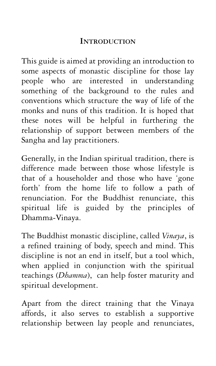#### **INTRODUCTION**

This guide is aimed at providing an introduction to some aspects of monastic discipline for those lay people who are interested in understanding something of the background to the rules and conventions which structure the way of life of the monks and nuns of this tradition. It is hoped that these notes will be helpful in furthering the relationship of support between members of the Sangha and lay practitioners.

Generally, in the Indian spiritual tradition, there is difference made between those whose lifestyle is that of a householder and those who have 'gone forth' from the home life to follow a path of renunciation. For the Buddhist renunciate, this spiritual life is guided by the principles of Dhamma-Vinaya.

The Buddhist monastic discipline, called *Vinaya*, is a refined training of body, speech and mind. This discipline is not an end in itself, but a tool which, when applied in conjunction with the spiritual teachings (*Dhamma*), can help foster maturity and spiritual development.

Apart from the direct training that the Vinaya affords, it also serves to establish a supportive relationship between lay people and renunciates,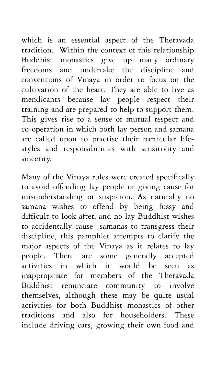which is an essential aspect of the Theravada tradition. Within the context of this relationship Buddhist monastics give up many ordinary freedoms and undertake the discipline and conventions of Vinaya in order to focus on the cultivation of the heart. They are able to live as mendicants because lay people respect their training and are prepared to help to support them. This gives rise to a sense of mutual respect and co-operation in which both lay person and samana are called upon to practise their particular lifestyles and responsibilities with sensitivity and sincerity.

Many of the Vinaya rules were created specifically to avoid offending lay people or giving cause for misunderstanding or suspicion. As naturally no samana wishes to offend by being fussy and difficult to look after, and no lay Buddhist wishes to accidentally cause samanas to transgress their discipline, this pamphlet attempts to clarify the major aspects of the Vinaya as it relates to lay people. There are some generally accepted activities in which it would be seen as inappropriate for members of the Theravada Buddhist renunciate community to involve themselves, although these may be quite usual activities for both Buddhist monastics of other traditions and also for householders. These include driving cars, growing their own food and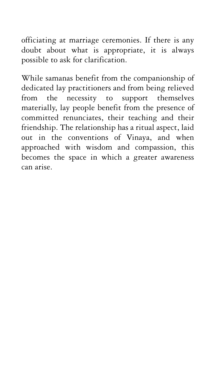officiating at marriage ceremonies. If there is any doubt about what is appropriate, it is always possible to ask for clarification.

While samanas benefit from the companionship of dedicated lay practitioners and from being relieved from the necessity to support themselves materially, lay people benefit from the presence of committed renunciates, their teaching and their friendship. The relationship has a ritual aspect, laid out in the conventions of Vinaya, and when approached with wisdom and compassion, this becomes the space in which a greater awareness can arise.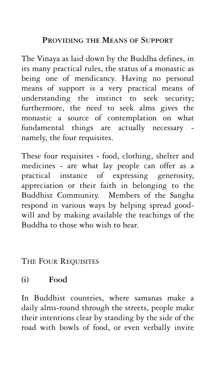#### **PROVIDING THE MEANS OF SUPPORT**

The Vinaya as laid down by the Buddha defines, in its many practical rules, the status of a monastic as being one of mendicancy. Having no personal means of support is a very practical means of understanding the instinct to seek security; furthermore, the need to seek alms gives the monastic a source of contemplation on what fundamental things are actually necessary namely, the four requisites.

These four requisites - food, clothing, shelter and medicines - are what lay people can offer as a practical instance of expressing generosity, appreciation or their faith in belonging to the Buddhist Community. Members of the Sangha respond in various ways by helping spread goodwill and by making available the teachings of the Buddha to those who wish to hear.

THE FOUR REQUISITES

#### **(i) Food**

In Buddhist countries, where samanas make a daily alms-round through the streets, people make their intentions clear by standing by the side of the road with bowls of food, or even verbally invite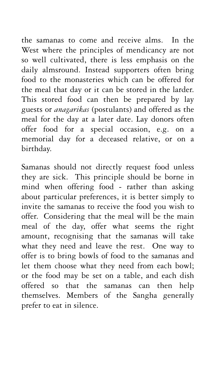the samanas to come and receive alms. In the West where the principles of mendicancy are not so well cultivated, there is less emphasis on the daily almsround. Instead supporters often bring food to the monasteries which can be offered for the meal that day or it can be stored in the larder. This stored food can then be prepared by lay guests or *anagarikas* (postulants) and offered as the meal for the day at a later date. Lay donors often offer food for a special occasion, e.g. on a memorial day for a deceased relative, or on a birthday.

Samanas should not directly request food unless they are sick. This principle should be borne in mind when offering food - rather than asking about particular preferences, it is better simply to invite the samanas to receive the food you wish to offer. Considering that the meal will be the main meal of the day, offer what seems the right amount, recognising that the samanas will take what they need and leave the rest. One way to offer is to bring bowls of food to the samanas and let them choose what they need from each bowl; or the food may be set on a table, and each dish offered so that the samanas can then help themselves. Members of the Sangha generally prefer to eat in silence.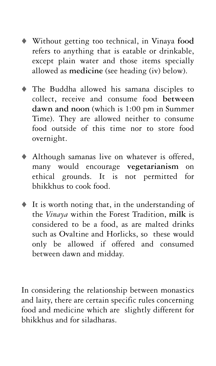- Without getting too technical, in Vinaya **food** refers to anything that is eatable or drinkable, except plain water and those items specially allowed as **medicine** (see heading (iv) below).
- The Buddha allowed his samana disciples to collect, receive and consume food **between dawn and noon** (which is 1:00 pm in Summer Time). They are allowed neither to consume food outside of this time nor to store food overnight.
- Although samanas live on whatever is offered, many would encourage **vegetarianism** on ethical grounds. It is not permitted for bhikkhus to cook food.
- It is worth noting that, in the understanding of the *Vinaya* within the Forest Tradition, **milk** is considered to be a food, as are malted drinks such as Ovaltine and Horlicks, so these would only be allowed if offered and consumed between dawn and midday.

In considering the relationship between monastics and laity, there are certain specific rules concerning food and medicine which are slightly different for bhikkhus and for siladharas.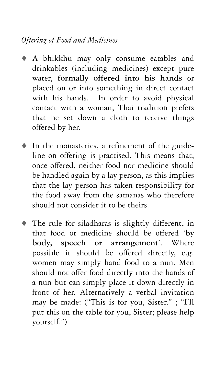### *Offering of Food and Medicines*

- A bhikkhu may only consume eatables and drinkables (including medicines) except pure water, **formally offered into his hands** or placed on or into something in direct contact with his hands. In order to avoid physical contact with a woman, Thai tradition prefers that he set down a cloth to receive things offered by her.
- $\bullet$  In the monasteries, a refinement of the guideline on offering is practised. This means that, once offered, neither food nor medicine should be handled again by a lay person, as this implies that the lay person has taken responsibility for the food away from the samanas who therefore should not consider it to be theirs.
- $\bullet$  The rule for siladharas is slightly different, in that food or medicine should be offered '**by body, speech or arrangement**'. Where possible it should be offered directly, e.g. women may simply hand food to a nun. Men should not offer food directly into the hands of a nun but can simply place it down directly in front of her. Alternatively a verbal invitation may be made: ("This is for you, Sister." ; "I'll put this on the table for you, Sister; please help yourself.")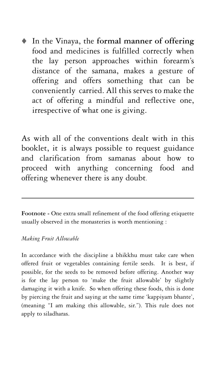- In the Vinaya, the **formal manner of offering** food and medicines is fulfilled correctly when the lay person approaches within forearm's distance of the samana, makes a gesture of offering and offers something that can be conveniently carried. All this serves to make the act of offering a mindful and reflective one, irrespective of what one is giving.

As with all of the conventions dealt with in this booklet, it is always possible to request guidance and clarification from samanas about how to proceed with anything concerning food and offering whenever there is any doubt.

Footnote - One extra small refinement of the food offering etiquette usually observed in the monasteries is worth mentioning :

#### *Making Fruit Allowable*

In accordance with the discipline a bhikkhu must take care when offered fruit or vegetables containing fertile seeds. It is best, if possible, for the seeds to be removed before offering. Another way is for the lay person to 'make the fruit allowable' by slightly damaging it with a knife. So when offering these foods, this is done by piercing the fruit and saying at the same time 'kappiyam bhante', (meaning "I am making this allowable, sir."). This rule does not apply to siladharas.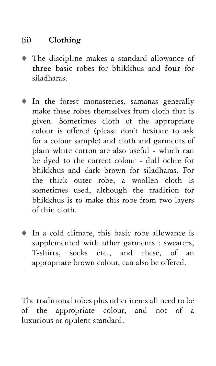### **(ii) Clothing**

- The discipline makes a standard allowance of **three** basic robes for bhikkhus and **four** for siladharas.
- In the forest monasteries, samanas generally make these robes themselves from cloth that is given. Sometimes cloth of the appropriate colour is offered (please don't hesitate to ask for a colour sample) and cloth and garments of plain white cotton are also useful - which can be dyed to the correct colour - dull ochre for bhikkhus and dark brown for siladharas. For the thick outer robe, a woollen cloth is sometimes used, although the tradition for bhikkhus is to make this robe from two layers of thin cloth.
- In a cold climate, this basic robe allowance is supplemented with other garments : sweaters, T-shirts, socks etc., and these, of an appropriate brown colour, can also be offered.

The traditional robes plus other items all need to be of the appropriate colour, and not of a luxurious or opulent standard.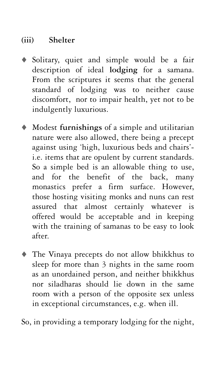#### **(iii) Shelter**

- Solitary, quiet and simple would be a fair description of ideal **lodging** for a samana. From the scriptures it seems that the general standard of lodging was to neither cause discomfort, nor to impair health, yet not to be indulgently luxurious.
- $\bullet$  Modest **furnishings** of a simple and utilitarian nature were also allowed, there being a precept against using 'high, luxurious beds and chairs' i.e. items that are opulent by current standards. So a simple bed is an allowable thing to use, and for the benefit of the back, many monastics prefer a firm surface. However, those hosting visiting monks and nuns can rest assured that almost certainly whatever is offered would be acceptable and in keeping with the training of samanas to be easy to look after.
- $\bullet$  The Vinaya precepts do not allow bhikkhus to sleep for more than 3 nights in the same room as an unordained person, and neither bhikkhus nor siladharas should lie down in the same room with a person of the opposite sex unless in exceptional circumstances, e.g. when ill.

So, in providing a temporary lodging for the night,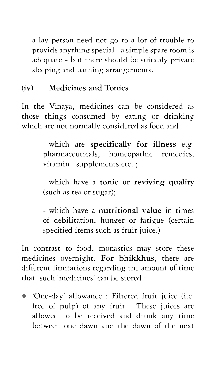a lay person need not go to a lot of trouble to provide anything special - a simple spare room is adequate - but there should be suitably private sleeping and bathing arrangements.

### **(iv) Medicines and Tonics**

In the Vinaya, medicines can be considered as those things consumed by eating or drinking which are not normally considered as food and :

> - which are **specifically for illness** e.g. pharmaceuticals, homeopathic remedies, vitamin supplements etc. ;

> - which have a **tonic or reviving quality** (such as tea or sugar);

> - which have a **nutritional value** in times of debilitation, hunger or fatigue (certain specified items such as fruit juice.)

In contrast to food, monastics may store these medicines overnight. **For bhikkhus**, there are different limitations regarding the amount of time that such 'medicines' can be stored :

- 'One-day' allowance : Filtered fruit juice (i.e. free of pulp) of any fruit. These juices are allowed to be received and drunk any time between one dawn and the dawn of the next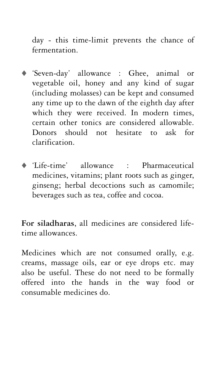day - this time-limit prevents the chance of fermentation.

- 'Seven-day' allowance : Ghee, animal or vegetable oil, honey and any kind of sugar (including molasses) can be kept and consumed any time up to the dawn of the eighth day after which they were received. In modern times, certain other tonics are considered allowable. Donors should not hesitate to ask for clarification.
- 'Life-time' allowance : Pharmaceutical medicines, vitamins; plant roots such as ginger, ginseng; herbal decoctions such as camomile; beverages such as tea, coffee and cocoa.

**For siladharas**, all medicines are considered lifetime allowances.

Medicines which are not consumed orally, e.g. creams, massage oils, ear or eye drops etc. may also be useful. These do not need to be formally offered into the hands in the way food or consumable medicines do.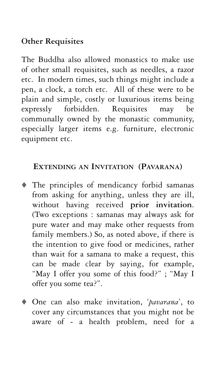#### **Other Requisites**

The Buddha also allowed monastics to make use of other small requisites, such as needles, a razor etc. In modern times, such things might include a pen, a clock, a torch etc. All of these were to be plain and simple, costly or luxurious items being expressly forbidden. Requisites may be communally owned by the monastic community, especially larger items e.g. furniture, electronic equipment etc.

#### **EXTENDING AN INVITATION (PAVARANA)**

- The principles of mendicancy forbid samanas from asking for anything, unless they are ill, without having received **prior invitation**. (Two exceptions : samanas may always ask for pure water and may make other requests from family members.) So, as noted above, if there is the intention to give food or medicines, rather than wait for a samana to make a request, this can be made clear by saying, for example, "May I offer you some of this food?" ; "May I offer you some tea?".
- One can also make invitation, '*pavarana*', to cover any circumstances that you might not be aware of - a health problem, need for a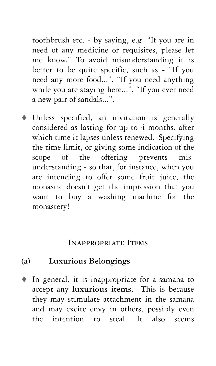toothbrush etc. - by saying, e.g. "If you are in need of any medicine or requisites, please let me know." To avoid misunderstanding it is better to be quite specific, such as - "If you need any more food...", "If you need anything while you are staying here...", "If you ever need a new pair of sandals...".

- Unless specified, an invitation is generally considered as lasting for up to 4 months, after which time it lapses unless renewed. Specifying the time limit, or giving some indication of the scope of the offering prevents misunderstanding - so that, for instance, when you are intending to offer some fruit juice, the monastic doesn't get the impression that you want to buy a washing machine for the monastery!

#### **INAPPROPRIATE ITEMS**

#### **(a) Luxurious Belongings**

- In general, it is inappropriate for a samana to accept any **luxurious items**. This is because they may stimulate attachment in the samana and may excite envy in others, possibly even the intention to steal. It also seems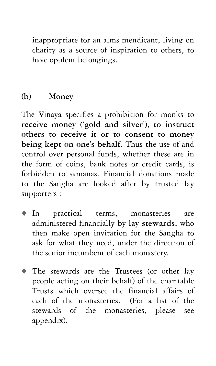inappropriate for an alms mendicant, living on charity as a source of inspiration to others, to have opulent belongings.

#### **(b) Money**

The Vinaya specifies a prohibition for monks to **receive money ('gold and silver'), to instruct others to receive it or to consent to money being kept on one's behalf**. Thus the use of and control over personal funds, whether these are in the form of coins, bank notes or credit cards, is forbidden to samanas. Financial donations made to the Sangha are looked after by trusted lay supporters :

- $\bullet$  In practical terms, monasteries are administered financially by **lay stewards**, who then make open invitation for the Sangha to ask for what they need, under the direction of the senior incumbent of each monastery.
- The stewards are the Trustees (or other lay people acting on their behalf) of the charitable Trusts which oversee the financial affairs of each of the monasteries. (For a list of the stewards of the monasteries, please see appendix).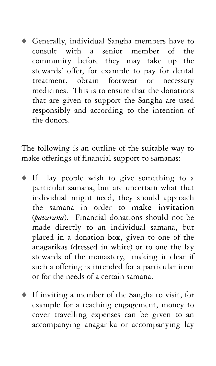- Generally, individual Sangha members have to consult with a senior member of the community before they may take up the stewards' offer, for example to pay for dental treatment, obtain footwear or necessary medicines. This is to ensure that the donations that are given to support the Sangha are used responsibly and according to the intention of the donors.

The following is an outline of the suitable way to make offerings of financial support to samanas:

- If lay people wish to give something to a particular samana, but are uncertain what that individual might need, they should approach the samana in order to **make invitation** (*pavarana*). Financial donations should not be made directly to an individual samana, but placed in a donation box, given to one of the anagarikas (dressed in white) or to one the lay stewards of the monastery, making it clear if such a offering is intended for a particular item or for the needs of a certain samana.
- If inviting a member of the Sangha to visit, for example for a teaching engagement, money to cover travelling expenses can be given to an accompanying anagarika or accompanying lay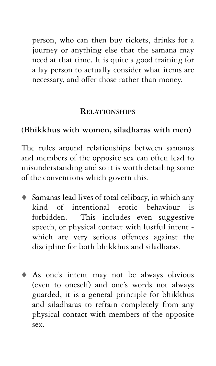person, who can then buy tickets, drinks for a journey or anything else that the samana may need at that time. It is quite a good training for a lay person to actually consider what items are necessary, and offer those rather than money.

#### **RELATIONSHIPS**

#### **(Bhikkhus with women, siladharas with men)**

The rules around relationships between samanas and members of the opposite sex can often lead to misunderstanding and so it is worth detailing some of the conventions which govern this.

- Samanas lead lives of total celibacy, in which any kind of intentional erotic behaviour is forbidden. This includes even suggestive speech, or physical contact with lustful intent which are very serious offences against the discipline for both bhikkhus and siladharas.
- As one's intent may not be always obvious (even to oneself) and one's words not always guarded, it is a general principle for bhikkhus and siladharas to refrain completely from any physical contact with members of the opposite sex.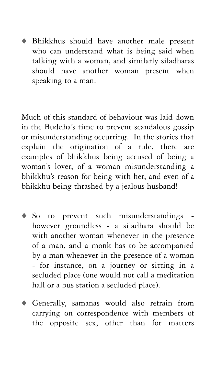- Bhikkhus should have another male present who can understand what is being said when talking with a woman, and similarly siladharas should have another woman present when speaking to a man.

Much of this standard of behaviour was laid down in the Buddha's time to prevent scandalous gossip or misunderstanding occurring. In the stories that explain the origination of a rule, there are examples of bhikkhus being accused of being a woman's lover, of a woman misunderstanding a bhikkhu's reason for being with her, and even of a bhikkhu being thrashed by a jealous husband!

- So to prevent such misunderstandings however groundless - a siladhara should be with another woman whenever in the presence of a man, and a monk has to be accompanied by a man whenever in the presence of a woman - for instance, on a journey or sitting in a secluded place (one would not call a meditation hall or a bus station a secluded place).
- Generally, samanas would also refrain from carrying on correspondence with members of the opposite sex, other than for matters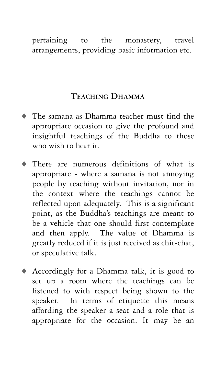#### pertaining to the monastery, travel arrangements, providing basic information etc.

#### **TEACHING DHAMMA**

- The samana as Dhamma teacher must find the appropriate occasion to give the profound and insightful teachings of the Buddha to those who wish to hear it.
- $\bullet$  There are numerous definitions of what is appropriate - where a samana is not annoying people by teaching without invitation, nor in the context where the teachings cannot be reflected upon adequately. This is a significant point, as the Buddha's teachings are meant to be a vehicle that one should first contemplate and then apply. The value of Dhamma is greatly reduced if it is just received as chit-chat, or speculative talk.
- Accordingly for a Dhamma talk, it is good to set up a room where the teachings can be listened to with respect being shown to the speaker. In terms of etiquette this means affording the speaker a seat and a role that is appropriate for the occasion. It may be an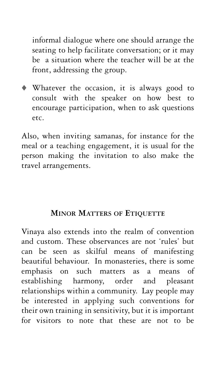informal dialogue where one should arrange the seating to help facilitate conversation; or it may be a situation where the teacher will be at the front, addressing the group.

- Whatever the occasion, it is always good to consult with the speaker on how best to encourage participation, when to ask questions etc.

Also, when inviting samanas, for instance for the meal or a teaching engagement, it is usual for the person making the invitation to also make the travel arrangements.

#### **MINOR MATTERS OF ETIQUETTE**

Vinaya also extends into the realm of convention and custom. These observances are not 'rules' but can be seen as skilful means of manifesting beautiful behaviour. In monasteries, there is some emphasis on such matters as a means of establishing harmony, order and pleasant relationships within a community. Lay people may be interested in applying such conventions for their own training in sensitivity, but it is important for visitors to note that these are not to be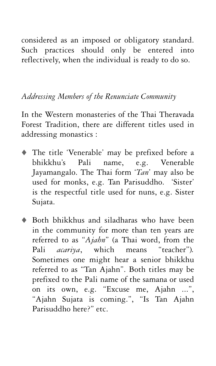considered as an imposed or obligatory standard. Such practices should only be entered into reflectively, when the individual is ready to do so.

#### *Addressing Members of the Renunciate Community*

In the Western monasteries of the Thai Theravada Forest Tradition, there are different titles used in addressing monastics :

- The title 'Venerable' may be prefixed before a bhikkhu's Pali name, e.g. Venerable Jayamangalo. The Thai form '*Tan*' may also be used for monks, e.g. Tan Parisuddho. 'Sister' is the respectful title used for nuns, e.g. Sister Sujata.
- Both bhikkhus and siladharas who have been in the community for more than ten years are referred to as "*Ajahn*" (a Thai word, from the Pali *acariya*, which means "teacher")*.* Sometimes one might hear a senior bhikkhu referred to as "Tan Ajahn". Both titles may be prefixed to the Pali name of the samana or used on its own, e.g. "Excuse me, Ajahn ...", "Ajahn Sujata is coming.", "Is Tan Ajahn Parisuddho here?" etc.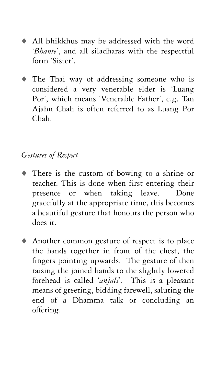- All bhikkhus may be addressed with the word '*Bhante*', and all siladharas with the respectful form 'Sister'.
- The Thai way of addressing someone who is considered a very venerable elder is 'Luang Por', which means 'Venerable Father', e.g. Tan Ajahn Chah is often referred to as Luang Por Chah.

#### *Gestures of Respect*

- There is the custom of bowing to a shrine or teacher. This is done when first entering their presence or when taking leave. Done gracefully at the appropriate time, this becomes a beautiful gesture that honours the person who does it.
- Another common gesture of respect is to place the hands together in front of the chest, the fingers pointing upwards. The gesture of then raising the joined hands to the slightly lowered forehead is called '*anjali*'. This is a pleasant means of greeting, bidding farewell, saluting the end of a Dhamma talk or concluding an offering.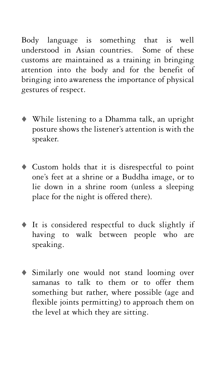Body language is something that is well understood in Asian countries. Some of these customs are maintained as a training in bringing attention into the body and for the benefit of bringing into awareness the importance of physical gestures of respect.

- While listening to a Dhamma talk, an upright posture shows the listener's attention is with the speaker.
- Custom holds that it is disrespectful to point one's feet at a shrine or a Buddha image, or to lie down in a shrine room (unless a sleeping place for the night is offered there).
- It is considered respectful to duck slightly if having to walk between people who are speaking.
- Similarly one would not stand looming over samanas to talk to them or to offer them something but rather, where possible (age and flexible joints permitting) to approach them on the level at which they are sitting.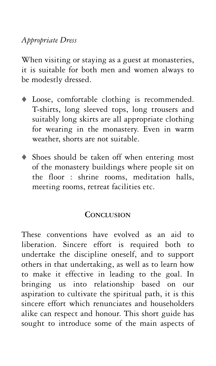#### *Appropriate Dress*

When visiting or staying as a guest at monasteries, it is suitable for both men and women always to be modestly dressed.

- Loose, comfortable clothing is recommended. T-shirts, long sleeved tops, long trousers and suitably long skirts are all appropriate clothing for wearing in the monastery. Even in warm weather, shorts are not suitable.
- Shoes should be taken off when entering most of the monastery buildings where people sit on the floor : shrine rooms, meditation halls, meeting rooms, retreat facilities etc.

#### **CONCLUSION**

These conventions have evolved as an aid to liberation. Sincere effort is required both to undertake the discipline oneself, and to support others in that undertaking, as well as to learn how to make it effective in leading to the goal. In bringing us into relationship based on our aspiration to cultivate the spiritual path, it is this sincere effort which renunciates and householders alike can respect and honour. This short guide has sought to introduce some of the main aspects of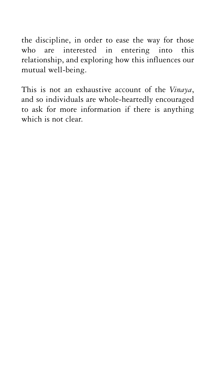the discipline, in order to ease the way for those who are interested in entering into this relationship, and exploring how this influences our mutual well-being.

This is not an exhaustive account of the *Vinaya*, and so individuals are whole-heartedly encouraged to ask for more information if there is anything which is not clear.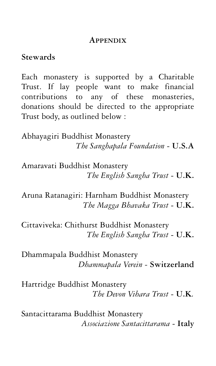#### **APPENDIX**

#### **Stewards**

Each monastery is supported by a Charitable Trust. If lay people want to make financial contributions to any of these monasteries, donations should be directed to the appropriate Trust body, as outlined below :

Abhayagiri Buddhist Monastery *The Sanghapala Foundation* - **U.S.A**

Amaravati Buddhist Monastery *The English Sangha Trust* - **U.K.**

Aruna Ratanagiri: Harnham Buddhist Monastery *The Magga Bhavaka Trust* - **U.K.**

Cittaviveka: Chithurst Buddhist Monastery *The English Sangha Trust* - **U.K.**

Dhammapala Buddhist Monastery *Dhammapala Verein -* **Switzerland**

Hartridge Buddhist Monastery *The Devon Vihara Trust* - **U.K***.*

Santacittarama Buddhist Monastery *Associazione Santacittarama* - **Italy**